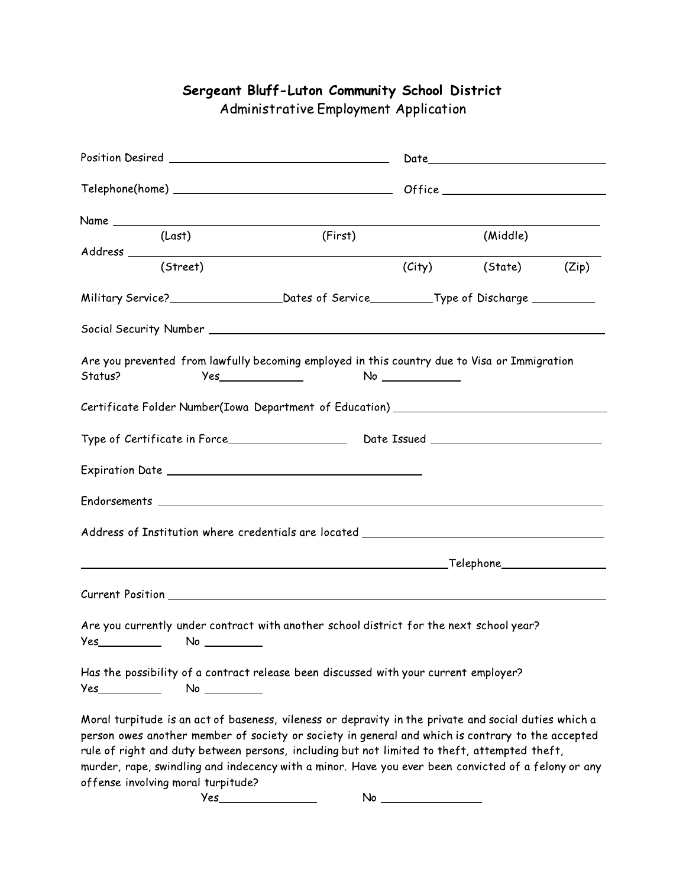## Sergeant Bluff-Luton Community School District

Administrative Employment Application

|                                                                                                           | (Last)                             | (First)                                                                                                                                                                                                                                                                                                                                                                                                           |  | (Middle)             |  |  |
|-----------------------------------------------------------------------------------------------------------|------------------------------------|-------------------------------------------------------------------------------------------------------------------------------------------------------------------------------------------------------------------------------------------------------------------------------------------------------------------------------------------------------------------------------------------------------------------|--|----------------------|--|--|
|                                                                                                           |                                    |                                                                                                                                                                                                                                                                                                                                                                                                                   |  |                      |  |  |
|                                                                                                           | (Street)                           |                                                                                                                                                                                                                                                                                                                                                                                                                   |  | (City) (State) (Zip) |  |  |
| Military Service?______________________________Dates of Service___________Type of Discharge _____________ |                                    |                                                                                                                                                                                                                                                                                                                                                                                                                   |  |                      |  |  |
|                                                                                                           |                                    |                                                                                                                                                                                                                                                                                                                                                                                                                   |  |                      |  |  |
| Status?                                                                                                   |                                    | Are you prevented from lawfully becoming employed in this country due to Visa or Immigration                                                                                                                                                                                                                                                                                                                      |  |                      |  |  |
|                                                                                                           |                                    | Certificate Folder Number(Iowa Department of Education) ________________________                                                                                                                                                                                                                                                                                                                                  |  |                      |  |  |
|                                                                                                           |                                    |                                                                                                                                                                                                                                                                                                                                                                                                                   |  |                      |  |  |
|                                                                                                           |                                    |                                                                                                                                                                                                                                                                                                                                                                                                                   |  |                      |  |  |
|                                                                                                           |                                    |                                                                                                                                                                                                                                                                                                                                                                                                                   |  |                      |  |  |
|                                                                                                           |                                    | Address of Institution where credentials are located ____________________________                                                                                                                                                                                                                                                                                                                                 |  |                      |  |  |
|                                                                                                           |                                    |                                                                                                                                                                                                                                                                                                                                                                                                                   |  |                      |  |  |
|                                                                                                           |                                    |                                                                                                                                                                                                                                                                                                                                                                                                                   |  |                      |  |  |
|                                                                                                           |                                    | Are you currently under contract with another school district for the next school year?                                                                                                                                                                                                                                                                                                                           |  |                      |  |  |
| Yes__________                                                                                             | No                                 | Has the possibility of a contract release been discussed with your current employer?                                                                                                                                                                                                                                                                                                                              |  |                      |  |  |
|                                                                                                           | offense involving moral turpitude? | Moral turpitude is an act of baseness, vileness or depravity in the private and social duties which a<br>person owes another member of society or society in general and which is contrary to the accepted<br>rule of right and duty between persons, including but not limited to theft, attempted theft,<br>murder, rape, swindling and indecency with a minor. Have you ever been convicted of a felony or any |  |                      |  |  |
|                                                                                                           | <b>Yes</b>                         | No                                                                                                                                                                                                                                                                                                                                                                                                                |  |                      |  |  |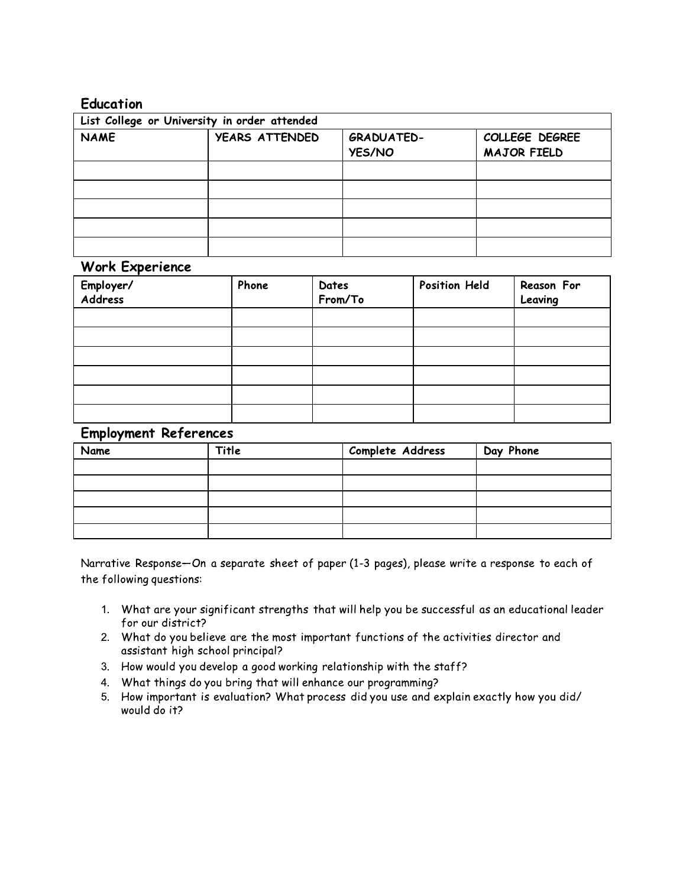## **Education**

| List College or University in order attended |                       |                                    |                                      |  |  |
|----------------------------------------------|-----------------------|------------------------------------|--------------------------------------|--|--|
| <b>NAME</b>                                  | <b>YEARS ATTENDED</b> | <b>GRADUATED-</b><br><b>YES/NO</b> | COLLEGE DEGREE<br><b>MAJOR FIELD</b> |  |  |
|                                              |                       |                                    |                                      |  |  |
|                                              |                       |                                    |                                      |  |  |
|                                              |                       |                                    |                                      |  |  |
|                                              |                       |                                    |                                      |  |  |
|                                              |                       |                                    |                                      |  |  |

## **Work Experience**

| . .<br>Employer/<br>Address | Phone | Dates<br>From/To | <b>Position Held</b> | Reason For<br>Leaving |
|-----------------------------|-------|------------------|----------------------|-----------------------|
|                             |       |                  |                      |                       |
|                             |       |                  |                      |                       |
|                             |       |                  |                      |                       |
|                             |       |                  |                      |                       |
|                             |       |                  |                      |                       |
|                             |       |                  |                      |                       |

## **Employment References**

| Name | Title | Complete Address | Day Phone |
|------|-------|------------------|-----------|
|      |       |                  |           |
|      |       |                  |           |
|      |       |                  |           |
|      |       |                  |           |
|      |       |                  |           |

Narrative Response-On a separate sheet of paper (1-3 pages), please write a response to each of the following questions:

- 1. What are your significant strengths that will help you be successful as an educational leader for our district?
- 2. What do you believe are the most important functions of the activities director and assistant high school principal?
- 3. How would you develop a good working relationship with the staff?
- 4. What things do you bring that will enhance our programming?
- 5. How important is evaluation? What process did you use and explain exactly how you did/ would do it?